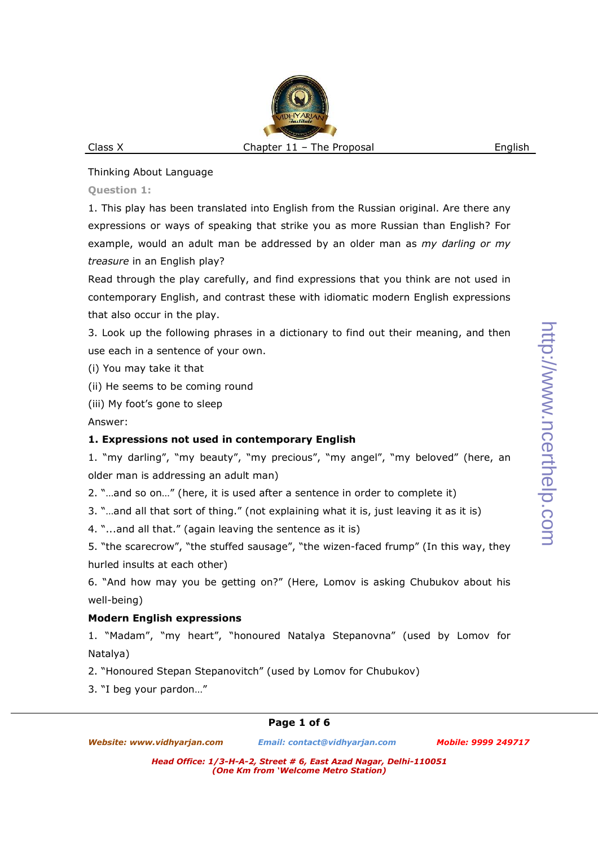# Thinking About Language

**Question 1:** 

1. This play has been translated into English from the Russian original. Are there any expressions or ways of speaking that strike you as more Russian than English? For example, would an adult man be addressed by an older man as *my darling or my treasure* in an English play?

Read through the play carefully, and find expressions that you think are not used in contemporary English, and contrast these with idiomatic modern English expressions that also occur in the play.

3. Look up the following phrases in a dictionary to find out their meaning, and then use each in a sentence of your own.

(i) You may take it that

(ii) He seems to be coming round

(iii) My foot's gone to sleep

Answer:

# **1. Expressions not used in contemporary English**

1. "my darling", "my beauty", "my precious", "my angel", "my beloved" (here, an older man is addressing an adult man)

2. "…and so on…" (here, it is used after a sentence in order to complete it)

3. "…and all that sort of thing." (not explaining what it is, just leaving it as it is)

4. "...and all that." (again leaving the sentence as it is)

5. "the scarecrow", "the stuffed sausage", "the wizen-faced frump" (In this way, they hurled insults at each other)

6. "And how may you be getting on?" (Here, Lomov is asking Chubukov about his well-being)

# **Modern English expressions**

1. "Madam", "my heart", "honoured Natalya Stepanovna" (used by Lomov for Natalya)

2. "Honoured Stepan Stepanovitch" (used by Lomov for Chubukov)

3. "I beg your pardon…"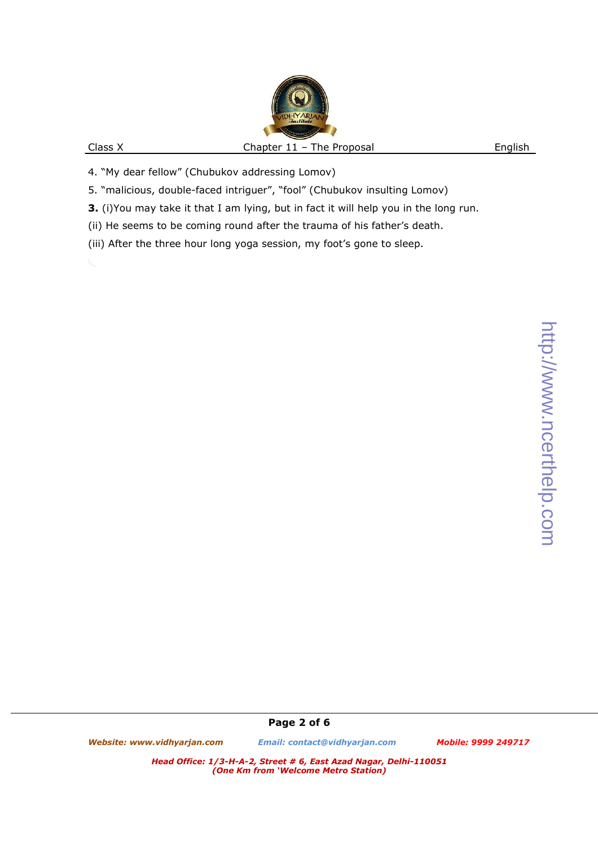- 4. "My dear fellow" (Chubukov addressing Lomov)
- 5. "malicious, double-faced intriguer", "fool" (Chubukov insulting Lomov)
- **3.** (i)You may take it that I am lying, but in fact it will help you in the long run.
- (ii) He seems to be coming round after the trauma of his father's death.
- (iii) After the three hour long yoga session, my foot's gone to sleep.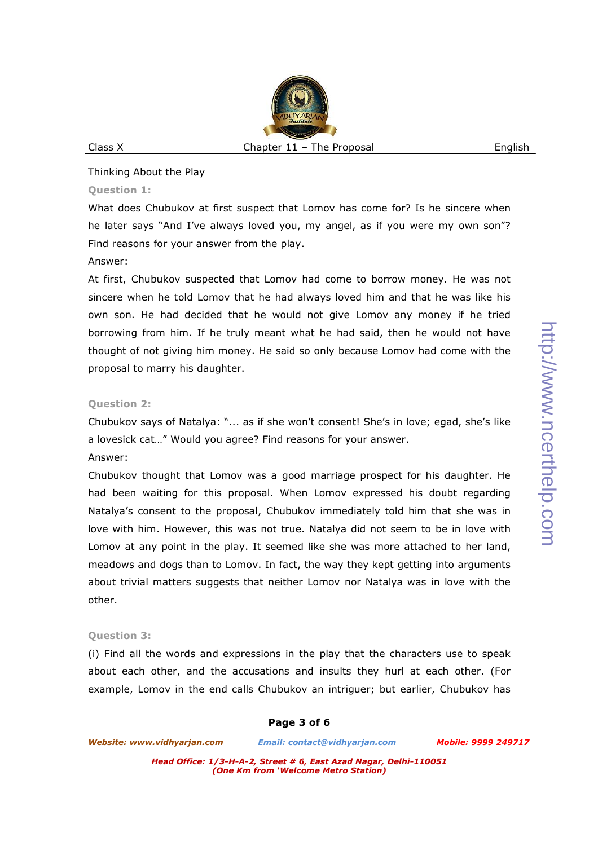#### Thinking About the Play

#### **Question 1:**

What does Chubukov at first suspect that Lomov has come for? Is he sincere when he later says "And I've always loved you, my angel, as if you were my own son"? Find reasons for your answer from the play.

## Answer:

At first, Chubukov suspected that Lomov had come to borrow money. He was not sincere when he told Lomov that he had always loved him and that he was like his own son. He had decided that he would not give Lomov any money if he tried borrowing from him. If he truly meant what he had said, then he would not have thought of not giving him money. He said so only because Lomov had come with the proposal to marry his daughter.

# **Question 2:**

Chubukov says of Natalya: "... as if she won't consent! She's in love; egad, she's like a lovesick cat…" Would you agree? Find reasons for your answer.

## Answer:

Chubukov thought that Lomov was a good marriage prospect for his daughter. He had been waiting for this proposal. When Lomov expressed his doubt regarding Natalya's consent to the proposal, Chubukov immediately told him that she was in love with him. However, this was not true. Natalya did not seem to be in love with Lomov at any point in the play. It seemed like she was more attached to her land, meadows and dogs than to Lomov. In fact, the way they kept getting into arguments about trivial matters suggests that neither Lomov nor Natalya was in love with the other.

# **Question 3:**

(i) Find all the words and expressions in the play that the characters use to speak about each other, and the accusations and insults they hurl at each other. (For example, Lomov in the end calls Chubukov an intriguer; but earlier, Chubukov has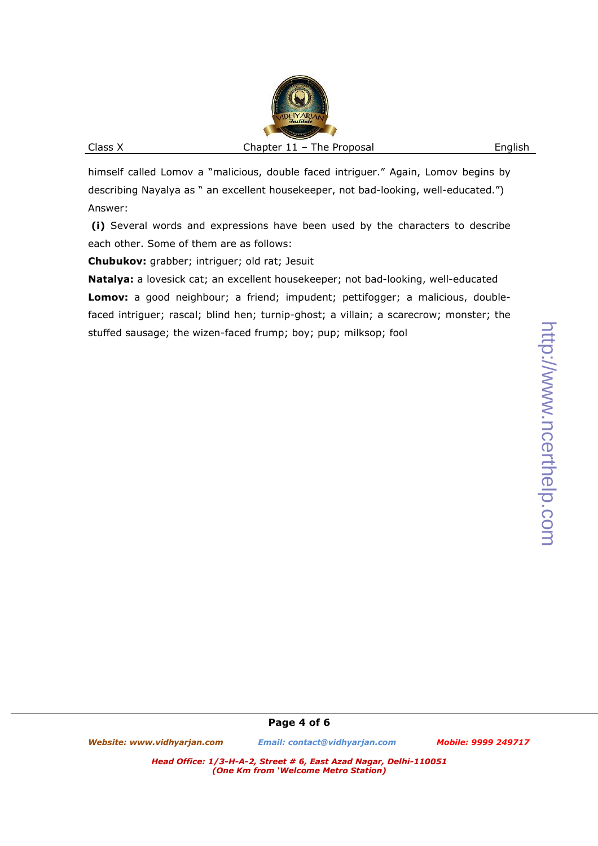himself called Lomov a "malicious, double faced intriguer." Again, Lomov begins by describing Nayalya as " an excellent housekeeper, not bad-looking, well-educated.") Answer:

 **(i)** Several words and expressions have been used by the characters to describe each other. Some of them are as follows:

**Chubukov:** grabber; intriguer; old rat; Jesuit

**Natalya:** a lovesick cat; an excellent housekeeper; not bad-looking, well-educated **Lomov:** a good neighbour; a friend; impudent; pettifogger; a malicious, doublefaced intriguer; rascal; blind hen; turnip-ghost; a villain; a scarecrow; monster; the stuffed sausage; the wizen-faced frump; boy; pup; milksop; fool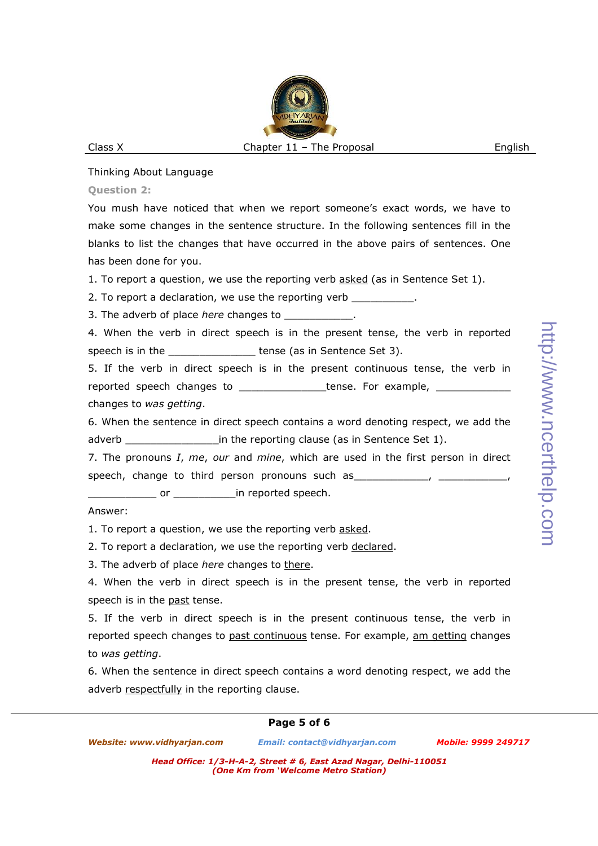### Thinking About Language

#### **Question 2:**

You mush have noticed that when we report someone's exact words, we have to make some changes in the sentence structure. In the following sentences fill in the blanks to list the changes that have occurred in the above pairs of sentences. One has been done for you.

1. To report a question, we use the reporting verb asked (as in Sentence Set 1).

2. To report a declaration, we use the reporting verb \_\_\_\_\_\_\_\_\_\_\_.

3. The adverb of place *here* changes to  $\blacksquare$ .

4. When the verb in direct speech is in the present tense, the verb in reported speech is in the \_\_\_\_\_\_\_\_\_\_\_\_\_\_\_\_\_\_\_ tense (as in Sentence Set 3).

5. If the verb in direct speech is in the present continuous tense, the verb in reported speech changes to example, tense. For example,

changes to *was getting*.

6. When the sentence in direct speech contains a word denoting respect, we add the adverb **EXEC 20** in the reporting clause (as in Sentence Set 1).

7. The pronouns *I*, *me*, *our* and *mine*, which are used in the first person in direct speech, change to third person pronouns such as  $\frac{1}{2}$ ,  $\frac{1}{2}$ 

\_\_\_\_\_\_\_\_\_\_\_ or \_\_\_\_\_\_\_\_\_\_in reported speech.

## Answer:

1. To report a question, we use the reporting verb asked.

2. To report a declaration, we use the reporting verb declared.

3. The adverb of place *here* changes to there.

4. When the verb in direct speech is in the present tense, the verb in reported speech is in the past tense.

5. If the verb in direct speech is in the present continuous tense, the verb in reported speech changes to past continuous tense. For example, am getting changes to *was getting*.

6. When the sentence in direct speech contains a word denoting respect, we add the adverb respectfully in the reporting clause.